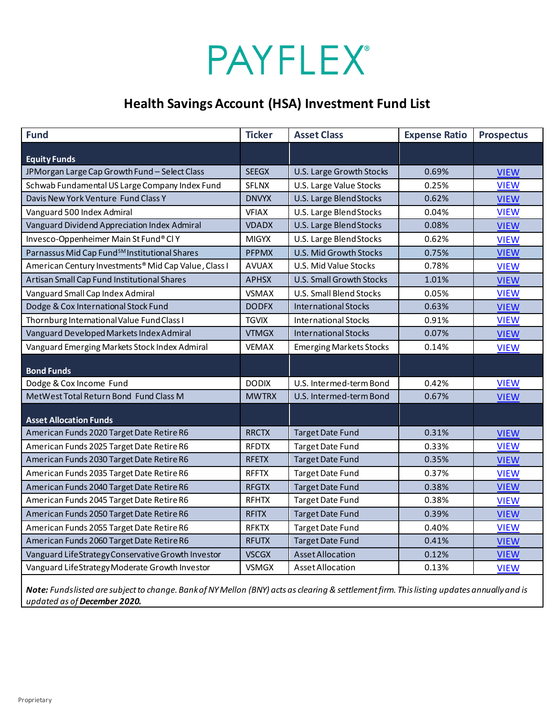# **PAYFLEX®**

## **Health Savings Account (HSA) Investment Fund List**

| <b>Fund</b>                                               | <b>Ticker</b> | <b>Asset Class</b>              | <b>Expense Ratio</b> | <b>Prospectus</b> |
|-----------------------------------------------------------|---------------|---------------------------------|----------------------|-------------------|
| <b>Equity Funds</b>                                       |               |                                 |                      |                   |
| JPMorgan Large Cap Growth Fund - Select Class             | <b>SEEGX</b>  | U.S. Large Growth Stocks        | 0.69%                | <b>VIEW</b>       |
| Schwab Fundamental US Large Company Index Fund            | <b>SFLNX</b>  | U.S. Large Value Stocks         | 0.25%                | <b>VIEW</b>       |
| Davis New York Venture Fund Class Y                       | <b>DNVYX</b>  | U.S. Large Blend Stocks         | 0.62%                | <b>VIEW</b>       |
| Vanguard 500 Index Admiral                                | <b>VFIAX</b>  | U.S. Large Blend Stocks         | 0.04%                | <b>VIEW</b>       |
| Vanguard Dividend Appreciation Index Admiral              | <b>VDADX</b>  | U.S. Large Blend Stocks         | 0.08%                | <b>VIEW</b>       |
| Invesco-Oppenheimer Main St Fund® Cl Y                    | <b>MIGYX</b>  | U.S. Large Blend Stocks         | 0.62%                | <b>VIEW</b>       |
| Parnassus Mid Cap Fund <sup>SM</sup> Institutional Shares | <b>PFPMX</b>  | U.S. Mid Growth Stocks          | 0.75%                | <b>VIEW</b>       |
| American Century Investments® Mid Cap Value, Class I      | <b>AVUAX</b>  | U.S. Mid Value Stocks           | 0.78%                | <b>VIEW</b>       |
| Artisan Small Cap Fund Institutional Shares               | <b>APHSX</b>  | <b>U.S. Small Growth Stocks</b> | 1.01%                | <b>VIEW</b>       |
| Vanguard Small Cap Index Admiral                          | <b>VSMAX</b>  | <b>U.S. Small Blend Stocks</b>  | 0.05%                | <b>VIEW</b>       |
| Dodge & Cox International Stock Fund                      | <b>DODFX</b>  | <b>International Stocks</b>     | 0.63%                | <b>VIEW</b>       |
| Thornburg International Value Fund Class I                | <b>TGVIX</b>  | <b>International Stocks</b>     | 0.91%                | <b>VIEW</b>       |
| Vanguard Developed Markets Index Admiral                  | <b>VTMGX</b>  | <b>International Stocks</b>     | 0.07%                | <b>VIEW</b>       |
| Vanguard Emerging Markets Stock Index Admiral             | <b>VEMAX</b>  | <b>Emerging Markets Stocks</b>  | 0.14%                | <b>VIEW</b>       |
| <b>Bond Funds</b>                                         |               |                                 |                      |                   |
| Dodge & Cox Income Fund                                   | <b>DODIX</b>  | U.S. Intermed-term Bond         | 0.42%                | <b>VIEW</b>       |
| MetWest Total Return Bond Fund Class M                    | <b>MWTRX</b>  | U.S. Intermed-term Bond         | 0.67%                | <b>VIEW</b>       |
| <b>Asset Allocation Funds</b>                             |               |                                 |                      |                   |
| American Funds 2020 Target Date Retire R6                 | <b>RRCTX</b>  | <b>Target Date Fund</b>         | 0.31%                | <b>VIEW</b>       |
| American Funds 2025 Target Date Retire R6                 | <b>RFDTX</b>  | Target Date Fund                | 0.33%                | <b>VIEW</b>       |
| American Funds 2030 Target Date Retire R6                 | <b>RFETX</b>  | <b>Target Date Fund</b>         | 0.35%                | <b>VIEW</b>       |
| American Funds 2035 Target Date Retire R6                 | <b>RFFTX</b>  | <b>Target Date Fund</b>         | 0.37%                | <b>VIEW</b>       |
| American Funds 2040 Target Date Retire R6                 | <b>RFGTX</b>  | <b>Target Date Fund</b>         | 0.38%                | <b>VIEW</b>       |
| American Funds 2045 Target Date Retire R6                 | <b>RFHTX</b>  | <b>Target Date Fund</b>         | 0.38%                | <b>VIEW</b>       |
| American Funds 2050 Target Date Retire R6                 | <b>RFITX</b>  | <b>Target Date Fund</b>         | 0.39%                | <b>VIEW</b>       |
| American Funds 2055 Target Date Retire R6                 | <b>RFKTX</b>  | <b>Target Date Fund</b>         | 0.40%                | <b>VIEW</b>       |
| American Funds 2060 Target Date Retire R6                 | <b>RFUTX</b>  | <b>Target Date Fund</b>         | 0.41%                | <b>VIEW</b>       |
| Vanguard LifeStrategy Conservative Growth Investor        | <b>VSCGX</b>  | <b>Asset Allocation</b>         | 0.12%                | <b>VIEW</b>       |
| Vanguard LifeStrategy Moderate Growth Investor            | <b>VSMGX</b>  | Asset Allocation                | 0.13%                | <b>VIEW</b>       |

*Note: Funds listed are subject to change. Bank of NY Mellon (BNY) acts as clearing & settlement firm. This listing updates annuallyand is updated as of December 2020.*